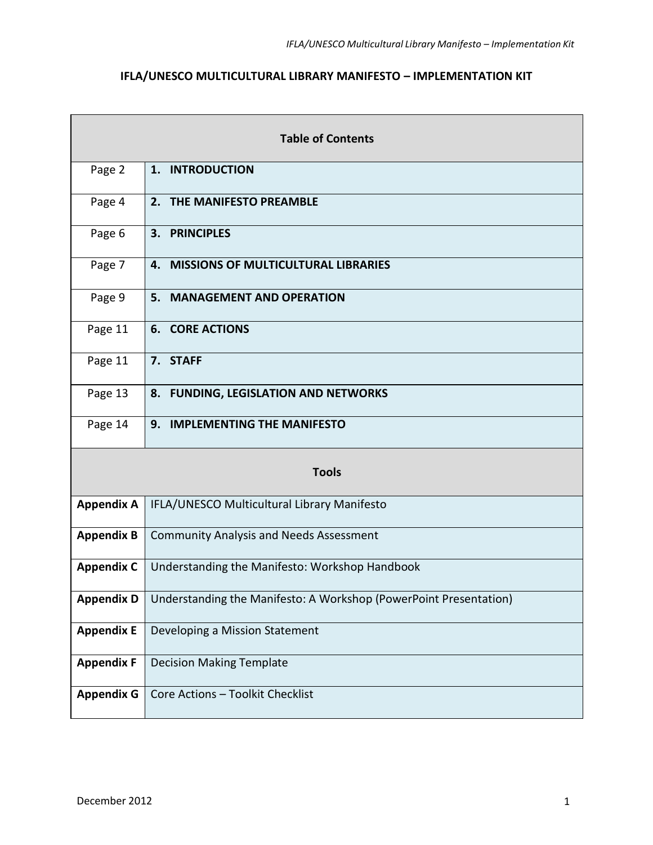# **IFLA/UNESCO MULTICULTURAL LIBRARY MANIFESTO – IMPLEMENTATION KIT**

| <b>Table of Contents</b> |                                                                                |  |
|--------------------------|--------------------------------------------------------------------------------|--|
| Page 2                   | 1. INTRODUCTION                                                                |  |
| Page 4                   | 2. THE MANIFESTO PREAMBLE                                                      |  |
| Page 6                   | 3. PRINCIPLES                                                                  |  |
| Page 7                   | 4. MISSIONS OF MULTICULTURAL LIBRARIES                                         |  |
| Page 9                   | 5. MANAGEMENT AND OPERATION                                                    |  |
| Page 11                  | <b>6. CORE ACTIONS</b>                                                         |  |
| Page 11                  | 7. STAFF                                                                       |  |
| Page 13                  | 8. FUNDING, LEGISLATION AND NETWORKS                                           |  |
| Page 14                  | 9. IMPLEMENTING THE MANIFESTO                                                  |  |
| <b>Tools</b>             |                                                                                |  |
| <b>Appendix A</b>        | IFLA/UNESCO Multicultural Library Manifesto                                    |  |
| <b>Appendix B</b>        | <b>Community Analysis and Needs Assessment</b>                                 |  |
| <b>Appendix C</b>        | Understanding the Manifesto: Workshop Handbook                                 |  |
|                          | Appendix D   Understanding the Manifesto: A Workshop (PowerPoint Presentation) |  |
| <b>Appendix E</b>        | Developing a Mission Statement                                                 |  |
| <b>Appendix F</b>        | <b>Decision Making Template</b>                                                |  |
| <b>Appendix G</b>        | Core Actions - Toolkit Checklist                                               |  |

 $\mathbf{r}$ 

 $\overline{\phantom{a}}$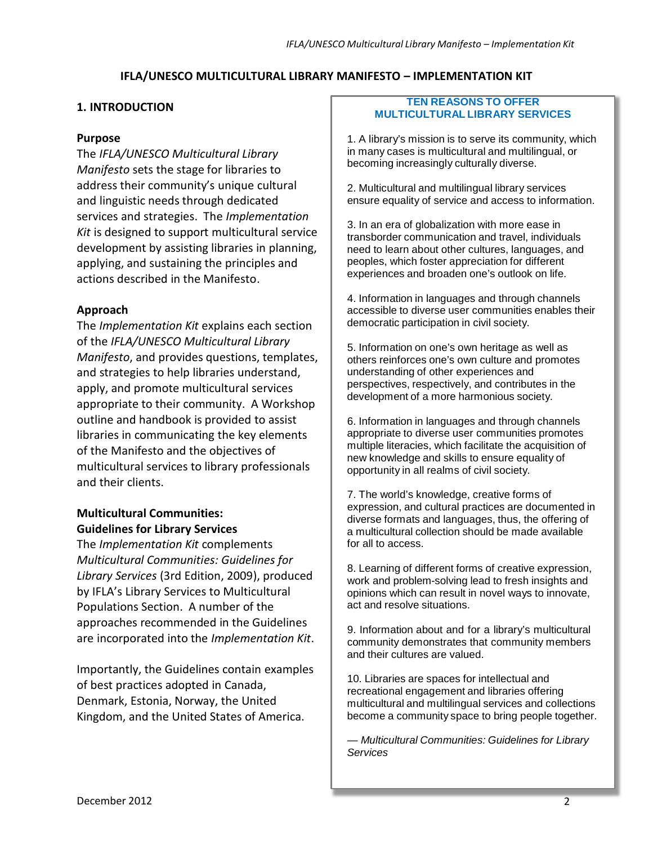## **IFLA/UNESCO MULTICULTURAL LIBRARY MANIFESTO – IMPLEMENTATION KIT**

## **1. INTRODUCTION**

## **Purpose**

The *IFLA/UNESCO Multicultural Library Manifesto* sets the stage for libraries to address their community's unique cultural and linguistic needs through dedicated services and strategies. The *Implementation Kit* is designed to support multicultural service development by assisting libraries in planning, applying, and sustaining the principles and actions described in the Manifesto.

# **Approach**

The *Implementation Kit* explains each section of the *IFLA/UNESCO Multicultural Library Manifesto*, and provides questions, templates, and strategies to help libraries understand, apply, and promote multicultural services appropriate to their community. A Workshop outline and handbook is provided to assist libraries in communicating the key elements of the Manifesto and the objectives of multicultural services to library professionals and their clients.

# **Multicultural Communities: Guidelines for Library Services**

The *Implementation Kit* complements *Multicultural Communities: Guidelines for Library Services* (3rd Edition, 2009), produced by IFLA's Library Services to Multicultural Populations Section. A number of the approaches recommended in the Guidelines are incorporated into the *Implementation Kit*.

Importantly, the Guidelines contain examples of best practices adopted in Canada, Denmark, Estonia, Norway, the United Kingdom, and the United States of America.

#### **TEN REASONS TO OFFER MULTICULTURAL LIBRARY SERVICES**

1. A library's mission is to serve its community, which in many cases is multicultural and multilingual, or becoming increasingly culturally diverse.

2. Multicultural and multilingual library services ensure equality of service and access to information.

3. In an era of globalization with more ease in transborder communication and travel, individuals need to learn about other cultures, languages, and peoples, which foster appreciation for different experiences and broaden one's outlook on life.

4. Information in languages and through channels accessible to diverse user communities enables their democratic participation in civil society.

5. Information on one's own heritage as well as others reinforces one's own culture and promotes understanding of other experiences and perspectives, respectively, and contributes in the development of a more harmonious society.

6. Information in languages and through channels appropriate to diverse user communities promotes multiple literacies, which facilitate the acquisition of new knowledge and skills to ensure equality of opportunity in all realms of civil society.

7. The world's knowledge, creative forms of expression, and cultural practices are documented in diverse formats and languages, thus, the offering of a multicultural collection should be made available for all to access.

8. Learning of different forms of creative expression, work and problem-solving lead to fresh insights and opinions which can result in novel ways to innovate, act and resolve situations.

9. Information about and for a library's multicultural community demonstrates that community members and their cultures are valued.

10. Libraries are spaces for intellectual and recreational engagement and libraries offering multicultural and multilingual services and collections become a community space to bring people together.

*— Multicultural Communities: Guidelines for Library Services*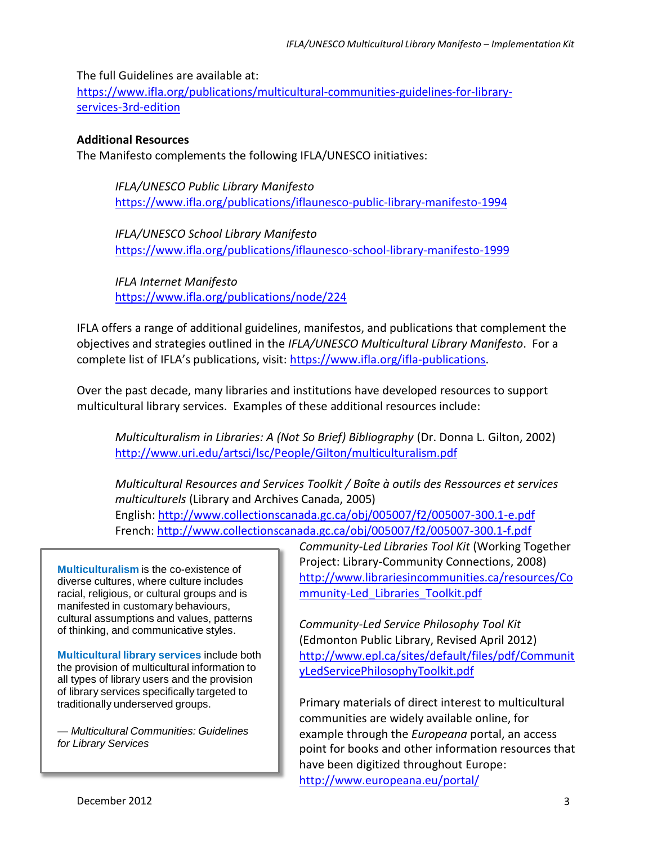The full Guidelines are available at:

[https://www.ifla.org/publications/multicultural-communities-guidelines-for-library](https://www.ifla.org/publications/multicultural-communities-guidelines-for-library-services-3rd-edition)[services-3rd-edition](https://www.ifla.org/publications/multicultural-communities-guidelines-for-library-services-3rd-edition)

## **Additional Resources**

The Manifesto complements the following IFLA/UNESCO initiatives:

*IFLA/UNESCO Public Library Manifesto* <https://www.ifla.org/publications/iflaunesco-public-library-manifesto-1994>

*IFLA/UNESCO School Library Manifesto* <https://www.ifla.org/publications/iflaunesco-school-library-manifesto-1999>

*IFLA Internet Manifesto* <https://www.ifla.org/publications/node/224>

IFLA offers a range of additional guidelines, manifestos, and publications that complement the objectives and strategies outlined in the *IFLA/UNESCO Multicultural Library Manifesto*. For a complete list of IFLA's publications, visit: [https://www.ifla.org/ifla-publications.](https://www.ifla.org/ifla-publications)

Over the past decade, many libraries and institutions have developed resources to support multicultural library services. Examples of these additional resources include:

*Multiculturalism in Libraries: A (Not So Brief) Bibliography* (Dr. Donna L. Gilton, 2002) <http://www.uri.edu/artsci/lsc/People/Gilton/multiculturalism.pdf>

*Multicultural Resources and Services Toolkit / Boîte à outils des Ressources et services multiculturels* (Library and Archives Canada, 2005)

English:<http://www.collectionscanada.gc.ca/obj/005007/f2/005007-300.1-e.pdf> French:<http://www.collectionscanada.gc.ca/obj/005007/f2/005007-300.1-f.pdf>

**Multiculturalism** is the co-existence of diverse cultures, where culture includes racial, religious, or cultural groups and is manifested in customary behaviours, cultural assumptions and values, patterns of thinking, and communicative styles.

**Multicultural library services** include both the provision of multicultural information to all types of library users and the provision of library services specifically targeted to traditionally underserved groups.

*— Multicultural Communities: Guidelines for Library Services*

*Community-Led Libraries Tool Kit* (Working Together Project: Library-Community Connections, 2008) [http://www.librariesincommunities.ca/resources/C](http://www.librariesincommunities.ca/resources/Community-Led_Libraries_Toolkit.pdf)o [mmunity-Led\\_Libraries\\_Toolkit.pdf](http://www.librariesincommunities.ca/resources/Community-Led_Libraries_Toolkit.pdf)

*Community-Led Service Philosophy Tool Kit*  (Edmonton Public Library, Revised April 2012) [http://www.epl.ca/sites/default/files/pdf/Communi](http://www.epl.ca/sites/default/files/pdf/CommunityLedServicePhilosophyToolkit.pdf)t [yLedServicePhilosophyToolkit.pdf](http://www.epl.ca/sites/default/files/pdf/CommunityLedServicePhilosophyToolkit.pdf)

Primary materials of direct interest to multicultural communities are widely available online, for example through the *Europeana* portal, an access point for books and other information resources that have been digitized throughout Europe: [http://www.europeana.eu/porta](http://www.europeana.eu/portal/)l/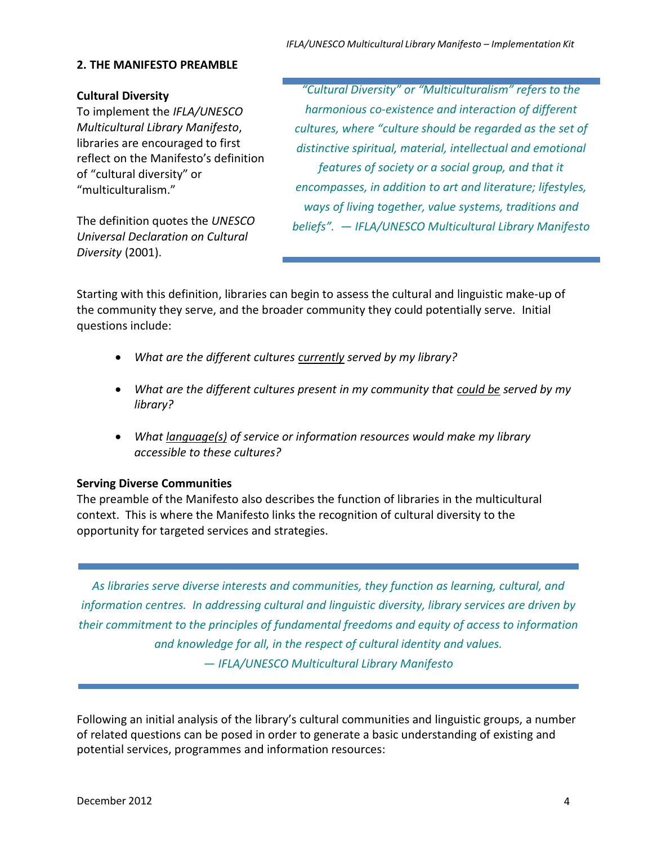### **2. THE MANIFESTO PREAMBLE**

### **Cultural Diversity**

To implement the *IFLA/UNESCO Multicultural Library Manifesto*, libraries are encouraged to first reflect on the Manifesto's definition of "cultural diversity" or "multiculturalism."

The definition quotes the *UNESCO Universal Declaration on Cultural Diversity* (2001).

*"Cultural Diversity" or "Multiculturalism" refers to the harmonious co-existence and interaction of different cultures, where "culture should be regarded as the set of distinctive spiritual, material, intellectual and emotional features of society or a social group, and that it encompasses, in addition to art and literature; lifestyles, ways of living together, value systems, traditions and beliefs". — IFLA/UNESCO Multicultural Library Manifesto*

Starting with this definition, libraries can begin to assess the cultural and linguistic make-up of the community they serve, and the broader community they could potentially serve. Initial questions include:

- *What are the different cultures currently served by my library?*
- *What are the different cultures present in my community that could be served by my library?*
- *What language(s) of service or information resources would make my library accessible to these cultures?*

## **Serving Diverse Communities**

The preamble of the Manifesto also describes the function of libraries in the multicultural context. This is where the Manifesto links the recognition of cultural diversity to the opportunity for targeted services and strategies.

*As libraries serve diverse interests and communities, they function as learning, cultural, and information centres. In addressing cultural and linguistic diversity, library services are driven by their commitment to the principles of fundamental freedoms and equity of access to information and knowledge for all, in the respect of cultural identity and values. — IFLA/UNESCO Multicultural Library Manifesto*

Following an initial analysis of the library's cultural communities and linguistic groups, a number of related questions can be posed in order to generate a basic understanding of existing and potential services, programmes and information resources: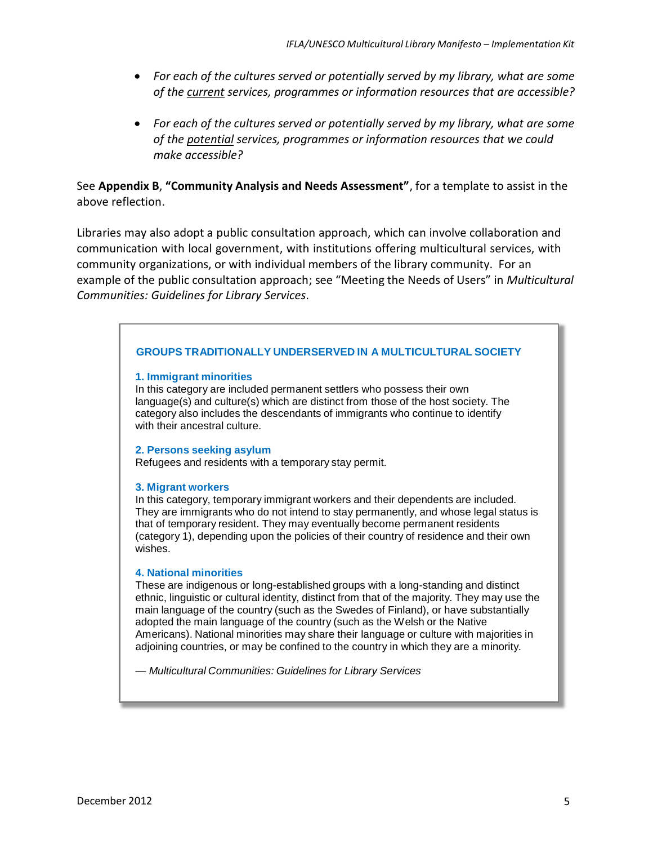- *For each of the cultures served or potentially served by my library, what are some of the current services, programmes or information resources that are accessible?*
- *For each of the cultures served or potentially served by my library, what are some of the potential services, programmes or information resources that we could make accessible?*

# See **Appendix B**, **"Community Analysis and Needs Assessment"**, for a template to assist in the above reflection.

Libraries may also adopt a public consultation approach, which can involve collaboration and communication with local government, with institutions offering multicultural services, with community organizations, or with individual members of the library community. For an example of the public consultation approach; see "Meeting the Needs of Users" in *Multicultural Communities: Guidelines for Library Services*.

## **GROUPS TRADITIONALLY UNDERSERVED IN A MULTICULTURAL SOCIETY**

#### **1. Immigrant minorities**

In this category are included permanent settlers who possess their own language(s) and culture(s) which are distinct from those of the host society. The category also includes the descendants of immigrants who continue to identify with their ancestral culture.

#### **2. Persons seeking asylum**

Refugees and residents with a temporary stay permit.

#### **3. Migrant workers**

In this category, temporary immigrant workers and their dependents are included. They are immigrants who do not intend to stay permanently, and whose legal status is that of temporary resident. They may eventually become permanent residents (category 1), depending upon the policies of their country of residence and their own wishes.

#### **4. National minorities**

These are indigenous or long-established groups with a long-standing and distinct ethnic, linguistic or cultural identity, distinct from that of the majority. They may use the main language of the country (such as the Swedes of Finland), or have substantially adopted the main language of the country (such as the Welsh or the Native Americans). National minorities may share their language or culture with majorities in adjoining countries, or may be confined to the country in which they are a minority.

*— Multicultural Communities: Guidelines for Library Services*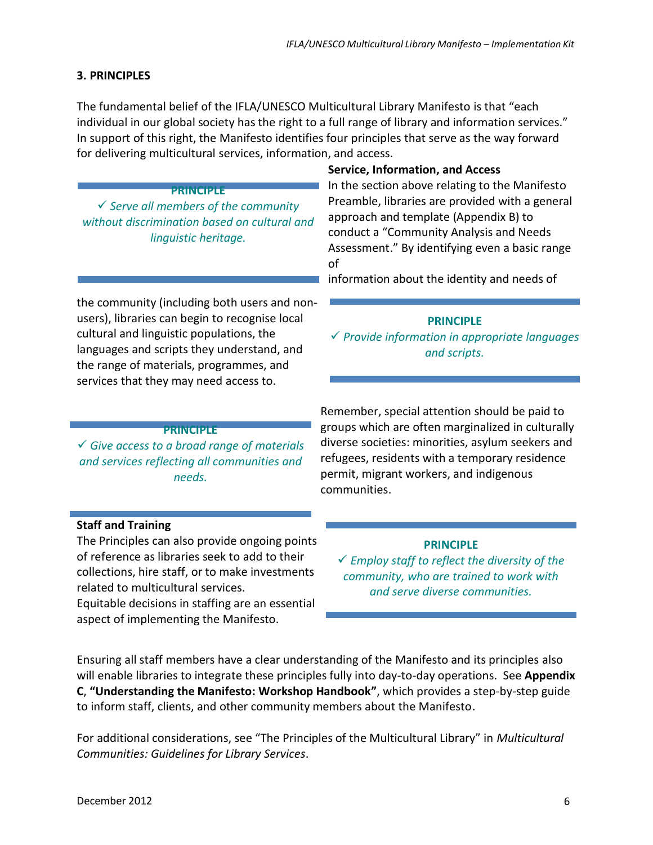# **3. PRINCIPLES**

The fundamental belief of the IFLA/UNESCO Multicultural Library Manifesto is that "each individual in our global society has the right to a full range of library and information services." In support of this right, the Manifesto identifies four principles that serve as the way forward for delivering multicultural services, information, and access.

#### **PRINCIPLE**

 *Serve all members of the community without discrimination based on cultural and linguistic heritage.*

the community (including both users and nonusers), libraries can begin to recognise local cultural and linguistic populations, the languages and scripts they understand, and the range of materials, programmes, and services that they may need access to.

### **Service, Information, and Access**

In the section above relating to the Manifesto Preamble, libraries are provided with a general approach and template (Appendix B) to conduct a "Community Analysis and Needs Assessment." By identifying even a basic range of

information about the identity and needs of

### **PRINCIPLE**

 *Provide information in appropriate languages and scripts.*

#### **PRINCIPLE**

 *Give access to a broad range of materials and services reflecting all communities and needs.*

Remember, special attention should be paid to groups which are often marginalized in culturally diverse societies: minorities, asylum seekers and refugees, residents with a temporary residence permit, migrant workers, and indigenous communities.

## **Staff and Training**

The Principles can also provide ongoing points of reference as libraries seek to add to their collections, hire staff, or to make investments related to multicultural services.

Equitable decisions in staffing are an essential aspect of implementing the Manifesto.

#### **PRINCIPLE**

 *Employ staff to reflect the diversity of the community, who are trained to work with and serve diverse communities.*

Ensuring all staff members have a clear understanding of the Manifesto and its principles also will enable libraries to integrate these principles fully into day-to-day operations. See **Appendix C**, **"Understanding the Manifesto: Workshop Handbook"**, which provides a step-by-step guide to inform staff, clients, and other community members about the Manifesto.

For additional considerations, see "The Principles of the Multicultural Library" in *Multicultural Communities: Guidelines for Library Services*.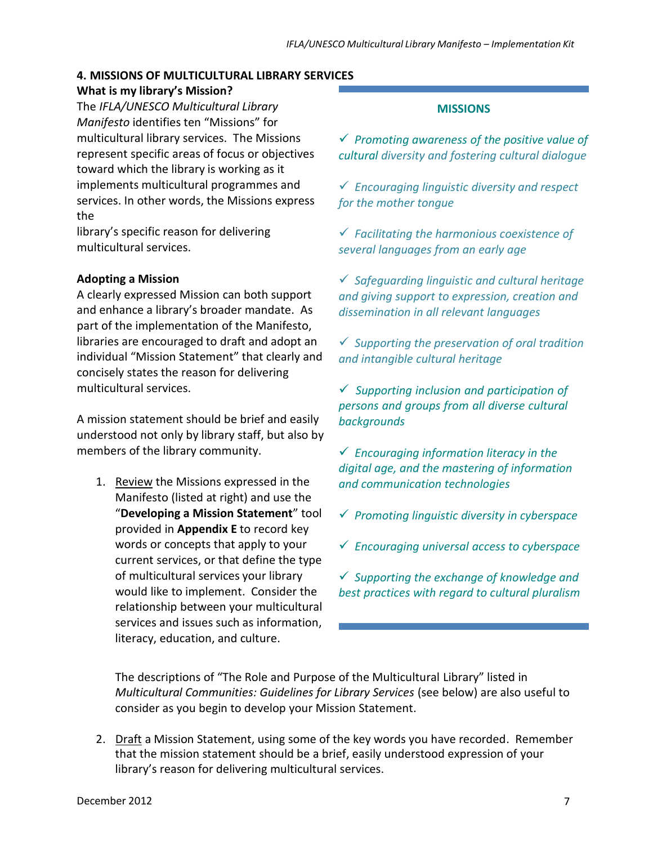### **4. MISSIONS OF MULTICULTURAL LIBRARY SERVICES**

## **What is my library's Mission?**

The *IFLA/UNESCO Multicultural Library Manifesto* identifies ten "Missions" for multicultural library services. The Missions represent specific areas of focus or objectives toward which the library is working as it implements multicultural programmes and services. In other words, the Missions express the

library's specific reason for delivering multicultural services.

## **Adopting a Mission**

A clearly expressed Mission can both support and enhance a library's broader mandate. As part of the implementation of the Manifesto, libraries are encouraged to draft and adopt an individual "Mission Statement" that clearly and concisely states the reason for delivering multicultural services.

A mission statement should be brief and easily understood not only by library staff, but also by members of the library community.

1. Review the Missions expressed in the Manifesto (listed at right) and use the "**Developing a Mission Statement**" tool provided in **Appendix E** to record key words or concepts that apply to your current services, or that define the type of multicultural services your library would like to implement. Consider the relationship between your multicultural services and issues such as information, literacy, education, and culture.

#### **MISSIONS**

 *Promoting awareness of the positive value of cultural diversity and fostering cultural dialogue*

 *Encouraging linguistic diversity and respect for the mother tongue*

 *Facilitating the harmonious coexistence of several languages from an early age*

 *Safeguarding linguistic and cultural heritage and giving support to expression, creation and dissemination in all relevant languages*

 *Supporting the preservation of oral tradition and intangible cultural heritage*

 *Supporting inclusion and participation of persons and groups from all diverse cultural backgrounds*

 *Encouraging information literacy in the digital age, and the mastering of information and communication technologies*

- *Promoting linguistic diversity in cyberspace*
- *Encouraging universal access to cyberspace*

 *Supporting the exchange of knowledge and best practices with regard to cultural pluralism*

The descriptions of "The Role and Purpose of the Multicultural Library" listed in *Multicultural Communities: Guidelines for Library Services* (see below) are also useful to consider as you begin to develop your Mission Statement.

2. Draft a Mission Statement, using some of the key words you have recorded. Remember that the mission statement should be a brief, easily understood expression of your library's reason for delivering multicultural services.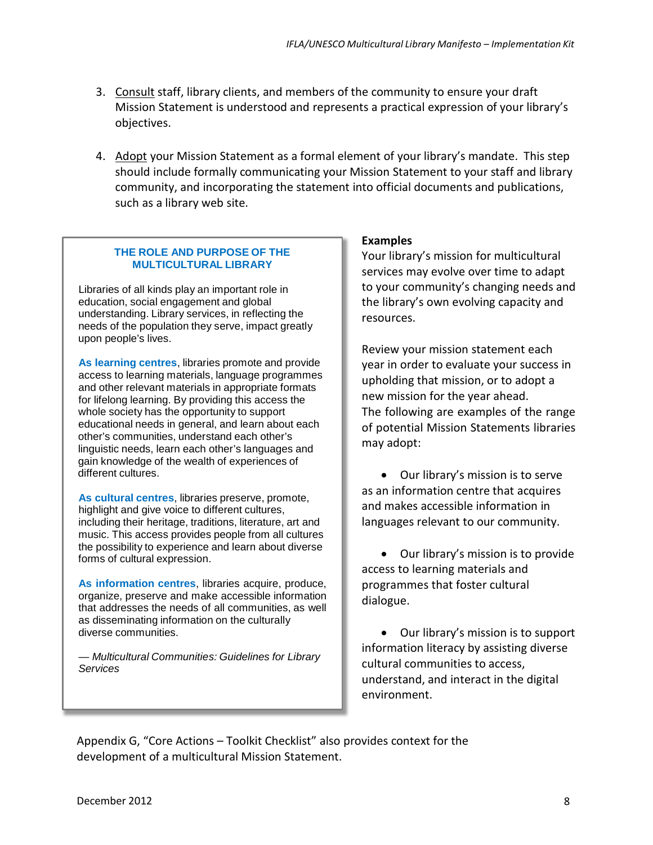- 3. Consult staff, library clients, and members of the community to ensure your draft Mission Statement is understood and represents a practical expression of your library's objectives.
- 4. Adopt your Mission Statement as a formal element of your library's mandate. This step should include formally communicating your Mission Statement to your staff and library community, and incorporating the statement into official documents and publications, such as a library web site.

## **THE ROLE AND PURPOSE OF THE MULTICULTURAL LIBRARY**

Libraries of all kinds play an important role in education, social engagement and global understanding. Library services, in reflecting the needs of the population they serve, impact greatly upon people's lives.

**As learning centres**, libraries promote and provide access to learning materials, language programmes and other relevant materials in appropriate formats for lifelong learning. By providing this access the whole society has the opportunity to support educational needs in general, and learn about each other's communities, understand each other's linguistic needs, learn each other's languages and gain knowledge of the wealth of experiences of different cultures.

**As cultural centres**, libraries preserve, promote, highlight and give voice to different cultures, including their heritage, traditions, literature, art and music. This access provides people from all cultures the possibility to experience and learn about diverse forms of cultural expression.

**As information centres**, libraries acquire, produce, organize, preserve and make accessible information that addresses the needs of all communities, as well as disseminating information on the culturally diverse communities.

*— Multicultural Communities: Guidelines for Library Services*

## **Examples**

Your library's mission for multicultural services may evolve over time to adapt to your community's changing needs and the library's own evolving capacity and resources.

Review your mission statement each year in order to evaluate your success in upholding that mission, or to adopt a new mission for the year ahead. The following are examples of the range of potential Mission Statements libraries may adopt:

• Our library's mission is to serve as an information centre that acquires and makes accessible information in languages relevant to our community.

• Our library's mission is to provide access to learning materials and programmes that foster cultural dialogue.

• Our library's mission is to support information literacy by assisting diverse cultural communities to access, understand, and interact in the digital environment.

Appendix G, "Core Actions – Toolkit Checklist" also provides context for the development of a multicultural Mission Statement.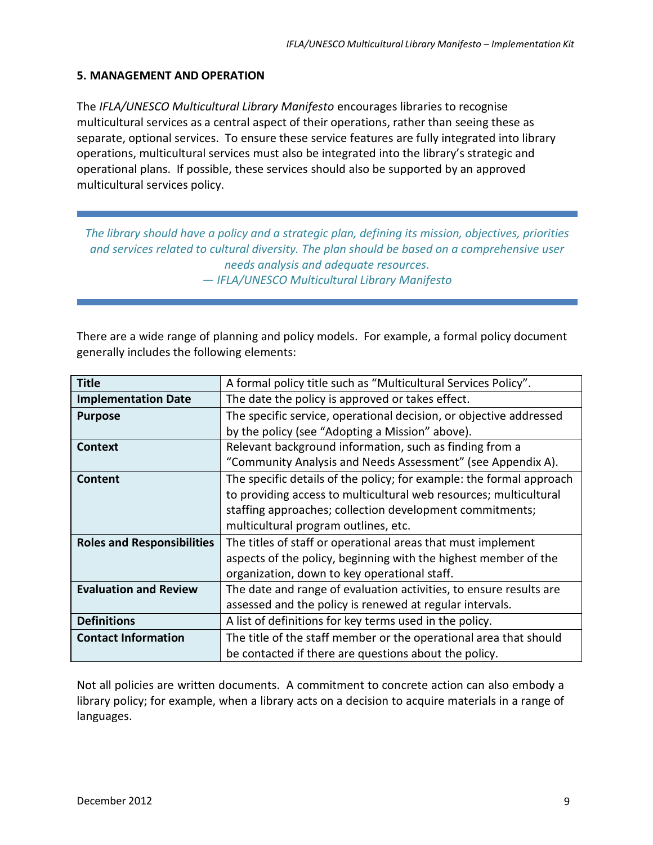## **5. MANAGEMENT AND OPERATION**

The *IFLA/UNESCO Multicultural Library Manifesto* encourages libraries to recognise multicultural services as a central aspect of their operations, rather than seeing these as separate, optional services. To ensure these service features are fully integrated into library operations, multicultural services must also be integrated into the library's strategic and operational plans. If possible, these services should also be supported by an approved multicultural services policy.

*The library should have a policy and a strategic plan, defining its mission, objectives, priorities and services related to cultural diversity. The plan should be based on a comprehensive user needs analysis and adequate resources. — IFLA/UNESCO Multicultural Library Manifesto*

There are a wide range of planning and policy models. For example, a formal policy document generally includes the following elements:

| <b>Title</b>                      | A formal policy title such as "Multicultural Services Policy".       |
|-----------------------------------|----------------------------------------------------------------------|
| <b>Implementation Date</b>        | The date the policy is approved or takes effect.                     |
| <b>Purpose</b>                    | The specific service, operational decision, or objective addressed   |
|                                   | by the policy (see "Adopting a Mission" above).                      |
| Context                           | Relevant background information, such as finding from a              |
|                                   | "Community Analysis and Needs Assessment" (see Appendix A).          |
| Content                           | The specific details of the policy; for example: the formal approach |
|                                   | to providing access to multicultural web resources; multicultural    |
|                                   | staffing approaches; collection development commitments;             |
|                                   | multicultural program outlines, etc.                                 |
| <b>Roles and Responsibilities</b> | The titles of staff or operational areas that must implement         |
|                                   | aspects of the policy, beginning with the highest member of the      |
|                                   | organization, down to key operational staff.                         |
| <b>Evaluation and Review</b>      | The date and range of evaluation activities, to ensure results are   |
|                                   | assessed and the policy is renewed at regular intervals.             |
| <b>Definitions</b>                | A list of definitions for key terms used in the policy.              |
| <b>Contact Information</b>        | The title of the staff member or the operational area that should    |
|                                   | be contacted if there are questions about the policy.                |

Not all policies are written documents. A commitment to concrete action can also embody a library policy; for example, when a library acts on a decision to acquire materials in a range of languages.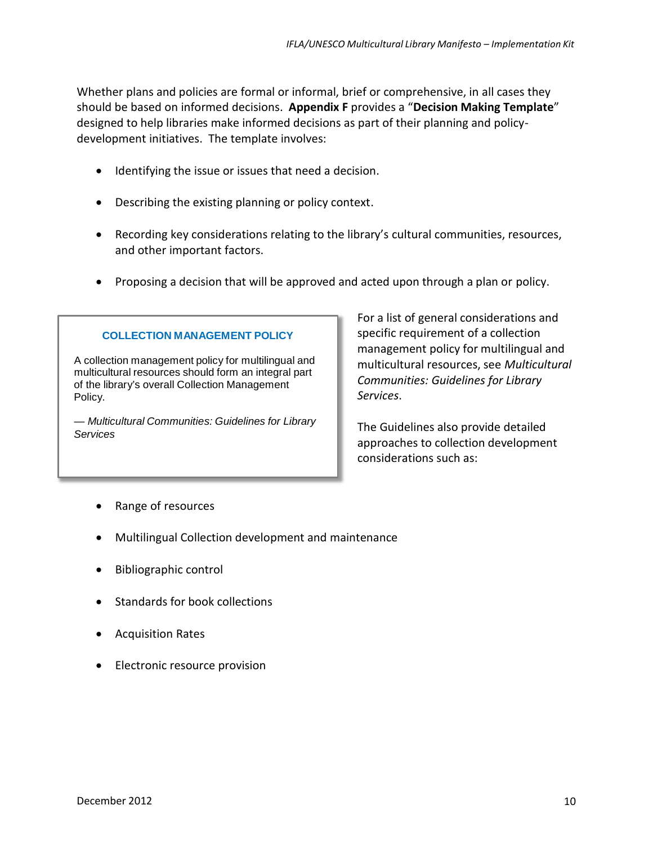Whether plans and policies are formal or informal, brief or comprehensive, in all cases they should be based on informed decisions. **Appendix F** provides a "**Decision Making Template**" designed to help libraries make informed decisions as part of their planning and policydevelopment initiatives. The template involves:

- Identifying the issue or issues that need a decision.
- Describing the existing planning or policy context.
- Recording key considerations relating to the library's cultural communities, resources, and other important factors.
- Proposing a decision that will be approved and acted upon through a plan or policy.

### **COLLECTION MANAGEMENT POLICY**

A collection management policy for multilingual and multicultural resources should form an integral part of the library's overall Collection Management Policy.

*— Multicultural Communities: Guidelines for Library Services*

For a list of general considerations and specific requirement of a collection management policy for multilingual and multicultural resources, see *Multicultural Communities: Guidelines for Library Services*.

The Guidelines also provide detailed approaches to collection development considerations such as:

- Range of resources
- Multilingual Collection development and maintenance
- Bibliographic control
- Standards for book collections
- Acquisition Rates
- Electronic resource provision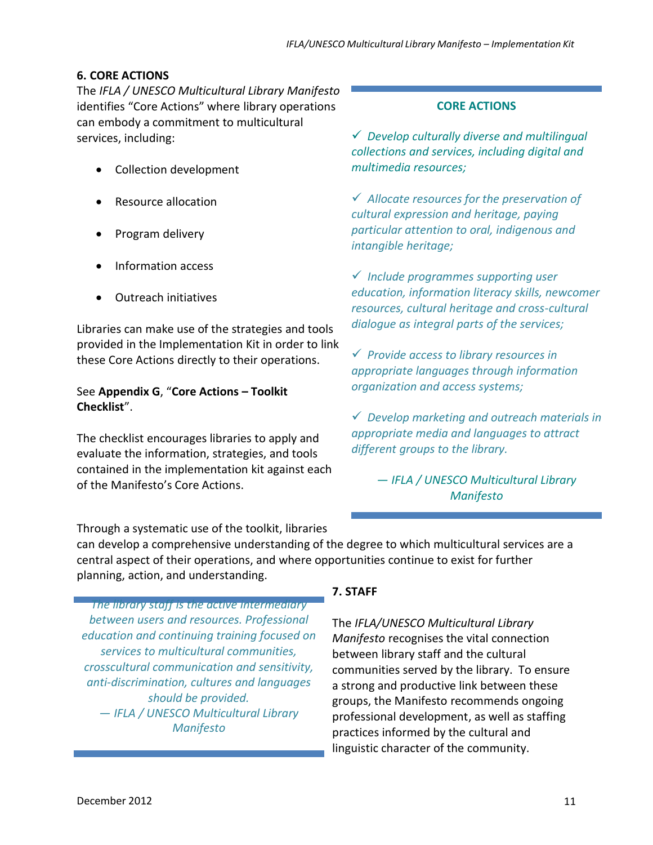# **6. CORE ACTIONS**

The *IFLA / UNESCO Multicultural Library Manifesto*  identifies "Core Actions" where library operations can embody a commitment to multicultural services, including:

- Collection development
- Resource allocation
- Program delivery
- Information access
- Outreach initiatives

Libraries can make use of the strategies and tools provided in the Implementation Kit in order to link these Core Actions directly to their operations.

# See **Appendix G**, "**Core Actions – Toolkit Checklist**".

The checklist encourages libraries to apply and evaluate the information, strategies, and tools contained in the implementation kit against each of the Manifesto's Core Actions.

# **CORE ACTIONS**

 *Develop culturally diverse and multilingual collections and services, including digital and multimedia resources;*

 *Allocate resources for the preservation of cultural expression and heritage, paying particular attention to oral, indigenous and intangible heritage;*

 *Include programmes supporting user education, information literacy skills, newcomer resources, cultural heritage and cross-cultural dialogue as integral parts of the services;*

 *Provide access to library resources in appropriate languages through information organization and access systems;*

 *Develop marketing and outreach materials in appropriate media and languages to attract different groups to the library.*

> *— IFLA / UNESCO Multicultural Library Manifesto*

Through a systematic use of the toolkit, libraries

can develop a comprehensive understanding of the degree to which multicultural services are a central aspect of their operations, and where opportunities continue to exist for further planning, action, and understanding.

*The library staff is the active intermediary between users and resources. Professional education and continuing training focused on services to multicultural communities, crosscultural communication and sensitivity, anti-discrimination, cultures and languages should be provided. — IFLA / UNESCO Multicultural Library Manifesto*

# **7. STAFF**

The *IFLA/UNESCO Multicultural Library Manifesto* recognises the vital connection between library staff and the cultural communities served by the library. To ensure a strong and productive link between these groups, the Manifesto recommends ongoing professional development, as well as staffing practices informed by the cultural and linguistic character of the community.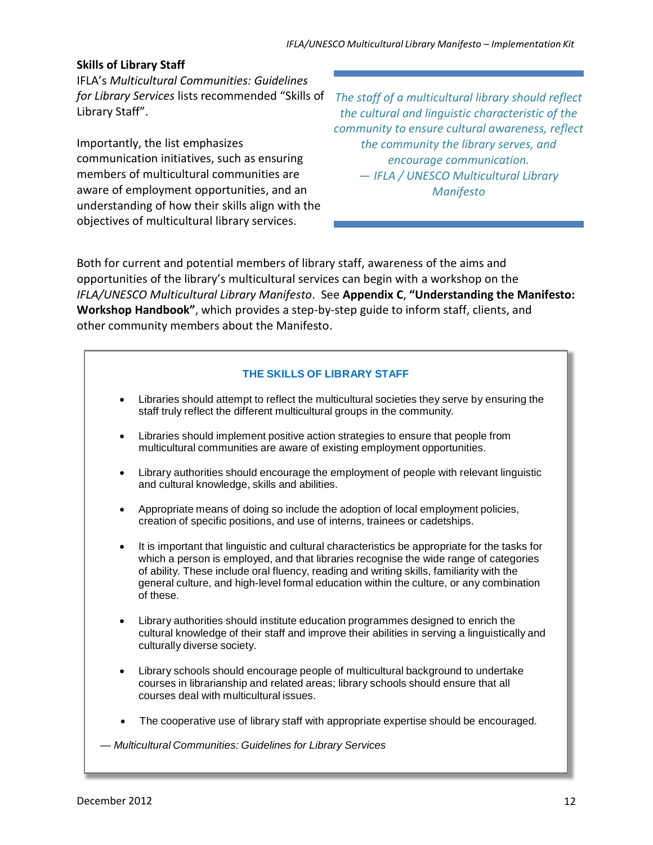## **Skills of Library Staff**

IFLA's *Multicultural Communities: Guidelines* Library Staff".

Importantly, the list emphasizes communication initiatives, such as ensuring members of multicultural communities are aware of employment opportunities, and an understanding of how their skills align with the objectives of multicultural library services.

*for Library Services* lists recommended "Skills of *The staff of a multicultural library should reflect the cultural and linguistic characteristic of the community to ensure cultural awareness, reflect the community the library serves, and encourage communication. — IFLA / UNESCO Multicultural Library Manifesto*

Both for current and potential members of library staff, awareness of the aims and opportunities of the library's multicultural services can begin with a workshop on the *IFLA/UNESCO Multicultural Library Manifesto*. See **Appendix C**, **"Understanding the Manifesto: Workshop Handbook"**, which provides a step-by-step guide to inform staff, clients, and other community members about the Manifesto.

### **THE SKILLS OF LIBRARY STAFF**

- Libraries should attempt to reflect the multicultural societies they serve by ensuring the staff truly reflect the different multicultural groups in the community.
- Libraries should implement positive action strategies to ensure that people from multicultural communities are aware of existing employment opportunities.
- Library authorities should encourage the employment of people with relevant linguistic and cultural knowledge, skills and abilities.
- Appropriate means of doing so include the adoption of local employment policies, creation of specific positions, and use of interns, trainees or cadetships.
- It is important that linguistic and cultural characteristics be appropriate for the tasks for which a person is employed, and that libraries recognise the wide range of categories of ability. These include oral fluency, reading and writing skills, familiarity with the general culture, and high-level formal education within the culture, or any combination of these.
- Library authorities should institute education programmes designed to enrich the cultural knowledge of their staff and improve their abilities in serving a linguistically and culturally diverse society.
- Library schools should encourage people of multicultural background to undertake courses in librarianship and related areas; library schools should ensure that all courses deal with multicultural issues.
- The cooperative use of library staff with appropriate expertise should be encouraged.

*— Multicultural Communities: Guidelines for Library Services*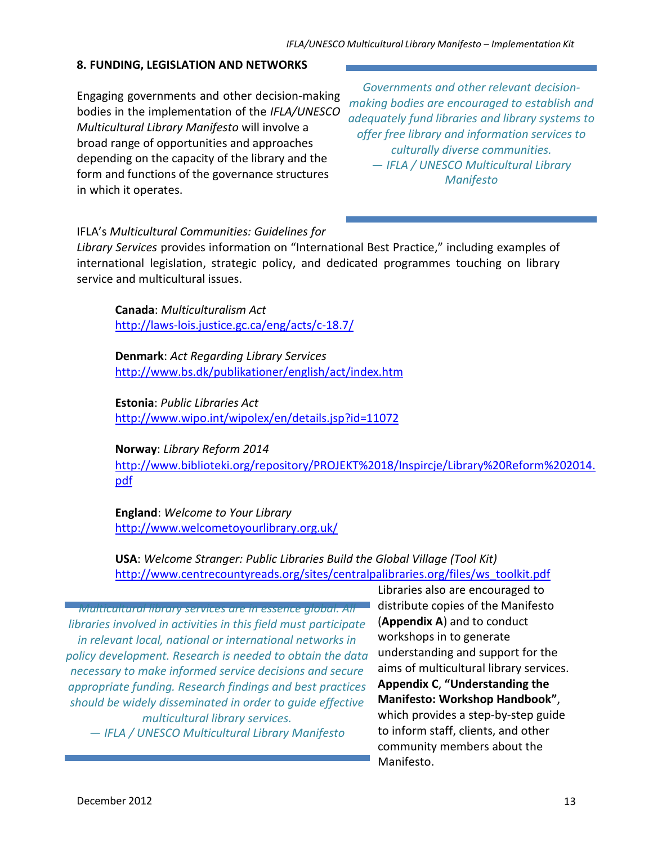### **8. FUNDING, LEGISLATION AND NETWORKS**

Engaging governments and other decision-making bodies in the implementation of the *IFLA/UNESCO Multicultural Library Manifesto* will involve a broad range of opportunities and approaches depending on the capacity of the library and the form and functions of the governance structures in which it operates.

*Governments and other relevant decisionmaking bodies are encouraged to establish and adequately fund libraries and library systems to offer free library and information services to culturally diverse communities. — IFLA / UNESCO Multicultural Library Manifesto*

### IFLA's *Multicultural Communities: Guidelines for*

*Library Services* provides information on "International Best Practice," including examples of international legislation, strategic policy, and dedicated programmes touching on library service and multicultural issues.

**Canada**: *Multiculturalism Act* [http://laws-lois.justice.gc.ca/eng/acts/c-18.](http://laws-lois.justice.gc.ca/eng/acts/c-18.7/)7/

**Denmark**: *Act Regarding Library Services* <http://www.bs.dk/publikationer/english/act/index.htm>

**Estonia**: *Public Libraries Act* <http://www.wipo.int/wipolex/en/details.jsp?id=11072>

**Norway**: *Library Reform 2014*

[http://www.biblioteki.org/repository/PROJEKT%2018/Inspircje/Library%20Reform%202014.](http://www.biblioteki.org/repository/PROJEKT%2018/Inspircje/Library%20Reform%202014.pdf) [pdf](http://www.biblioteki.org/repository/PROJEKT%2018/Inspircje/Library%20Reform%202014.pdf)

**England**: *Welcome to Your Library* [http://www.welcometoyourlibrary.or](http://www.welcometoyourlibrary.org.uk/)g.uk/

**USA**: *Welcome Stranger: Public Libraries Build the Global Village (Tool Kit)* [http://www.centrecountyreads.org/sites/centralpalibraries.org/files/ws\\_toolkit.pdf](http://www.centrecountyreads.org/sites/centralpalibraries.org/files/ws_toolkit.pdf)

*Multicultural library services are in essence global. All libraries involved in activities in this field must participate in relevant local, national or international networks in policy development. Research is needed to obtain the data necessary to make informed service decisions and secure appropriate funding. Research findings and best practices should be widely disseminated in order to guide effective multicultural library services. — IFLA / UNESCO Multicultural Library Manifesto*

Libraries also are encouraged to distribute copies of the Manifesto (**Appendix A**) and to conduct workshops in to generate understanding and support for the aims of multicultural library services. **Appendix C**, **"Understanding the Manifesto: Workshop Handbook"**, which provides a step-by-step guide to inform staff, clients, and other community members about the Manifesto.